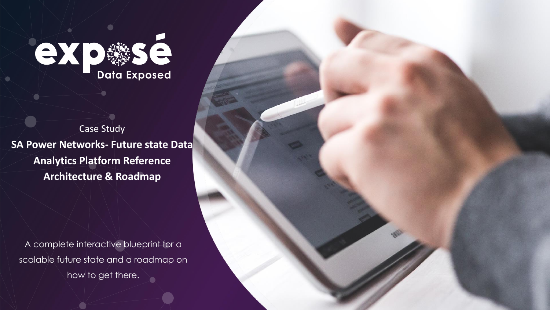

Case Study **SA Power Networks- Future state Data Analytics Platform Reference Architecture & Roadmap**

A complete interactive blueprint for a scalable future state and a roadmap on how to get there.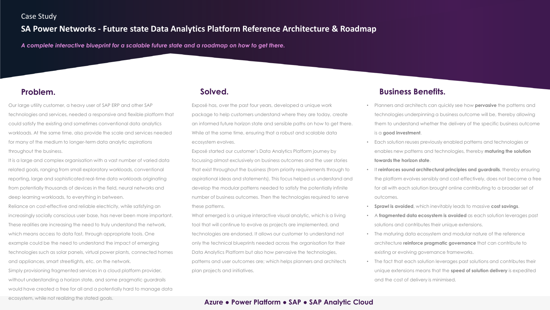## Case Study

# **SA Power Networks - Future state Data Analytics Platform Reference Architecture & Roadmap**

*A complete interactive blueprint for a scalable future state and a roadmap on how to get there.*

Our large utility customer, a heavy user of SAP ERP and other SAP technologies and services, needed a responsive and flexible platform that could satisfy the existing and sometimes conventional data analytics workloads. At the same time, also provide the scale and services needed for many of the medium to longer-term data analytic aspirations throughout the business.

It is a large and complex organisation with a vast number of varied data related goals, ranging from small exploratory workloads, conventional reporting, large and sophisticated real-time data workloads originating from potentially thousands of devices in the field, neural networks and deep learning workloads, to everything in between.

Reliance on cost-effective and reliable electricity, while satisfying an increasingly socially conscious user base, has never been more important. These realities are increasing the need to truly understand the network, which means access to data fast, through appropriate tools. One example could be the need to understand the impact of emerging technologies such as solar panels, virtual power plants, connected homes and appliances, smart streetlights, etc. on the network.

Simply provisioning fragmented services in a cloud platform provider, without understanding a horizon state, and some pragmatic guardrails would have created a free for all and a potentially hard to manage data ecosystem, while not realizing the stated goals.

Exposé has, over the past four years, developed a unique work package to help customers understand where they are today, create an informed future horizon state and sensible paths on how to get there. While at the same time, ensuring that a robust and scalable data ecosystem evolves.

Exposé started our customer's Data Analytics Platform journey by focussing almost exclusively on business outcomes and the user stories that exist throughout the business (from priority requirements through to aspirational ideas and statements). This focus helped us understand and develop the modular patterns needed to satisfy the potentially infinite number of business outcomes. Then the technologies required to serve these patterns.

What emerged is a unique interactive visual analytic, which is a living tool that will continue to evolve as projects are implemented, and technologies are endorsed. It allows our customer to understand not only the technical blueprints needed across the organisation for their Data Analytics Platform but also how pervasive the technologies, patterns and user outcomes are; which helps planners and architects plan projects and initiatives.

## **Problem. Solved. Business Benefits.**

- Planners and architects can quickly see how **pervasive** the patterns and technologies underpinning a business outcome will be, thereby allowing them to understand whether the delivery of the specific business outcome is a **good investment**.
- Each solution reuses previously enabled patterns and technologies or enables new patterns and technologies, thereby **maturing the solution towards the horizon state**.
- It **reinforces sound architectural principles and guardrails**, thereby ensuring the platform evolves sensibly and cost-effectively, does not become a free for all with each solution brought online contributing to a broader set of outcomes.
- **Sprawl is avoided**, which inevitably leads to massive **cost savings**.
- A **fragmented data ecosystem is avoided** as each solution leverages past solutions and contributes their unique extensions.
- The maturing data ecosystem and modular nature of the reference architecture **reinforce pragmatic governance** that can contribute to existing or evolving governance frameworks.
- The fact that each solution leverages past solutions and contributes their unique extensions means that the **speed of solution delivery** is expedited and the cost of delivery is minimised.

## **Azure ● Power Platform ● SAP ● SAP Analytic Cloud**